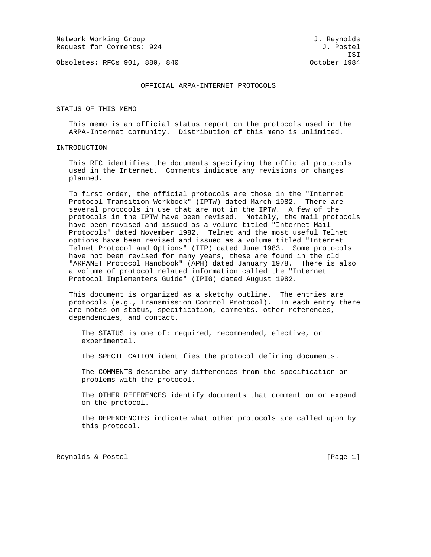Network Working Group and Services and Services and J. Reynolds Request for Comments: 924 J. Postel

Obsoletes: RFCs 901, 880, 840 October 1984

ISI

#### OFFICIAL ARPA-INTERNET PROTOCOLS

STATUS OF THIS MEMO

 This memo is an official status report on the protocols used in the ARPA-Internet community. Distribution of this memo is unlimited.

#### INTRODUCTION

 This RFC identifies the documents specifying the official protocols used in the Internet. Comments indicate any revisions or changes planned.

 To first order, the official protocols are those in the "Internet Protocol Transition Workbook" (IPTW) dated March 1982. There are several protocols in use that are not in the IPTW. A few of the protocols in the IPTW have been revised. Notably, the mail protocols have been revised and issued as a volume titled "Internet Mail Protocols" dated November 1982. Telnet and the most useful Telnet options have been revised and issued as a volume titled "Internet Telnet Protocol and Options" (ITP) dated June 1983. Some protocols have not been revised for many years, these are found in the old "ARPANET Protocol Handbook" (APH) dated January 1978. There is also a volume of protocol related information called the "Internet Protocol Implementers Guide" (IPIG) dated August 1982.

 This document is organized as a sketchy outline. The entries are protocols (e.g., Transmission Control Protocol). In each entry there are notes on status, specification, comments, other references, dependencies, and contact.

 The STATUS is one of: required, recommended, elective, or experimental.

The SPECIFICATION identifies the protocol defining documents.

 The COMMENTS describe any differences from the specification or problems with the protocol.

 The OTHER REFERENCES identify documents that comment on or expand on the protocol.

 The DEPENDENCIES indicate what other protocols are called upon by this protocol.

Reynolds & Postel [Page 1]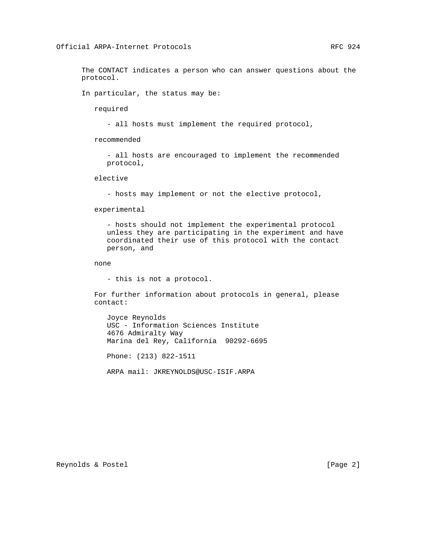The CONTACT indicates a person who can answer questions about the protocol.

In particular, the status may be:

required

- all hosts must implement the required protocol,

recommended

 - all hosts are encouraged to implement the recommended protocol,

elective

- hosts may implement or not the elective protocol,

experimental

 - hosts should not implement the experimental protocol unless they are participating in the experiment and have coordinated their use of this protocol with the contact person, and

none

- this is not a protocol.

 For further information about protocols in general, please contact:

 Joyce Reynolds USC - Information Sciences Institute 4676 Admiralty Way Marina del Rey, California 90292-6695

Phone: (213) 822-1511

ARPA mail: JKREYNOLDS@USC-ISIF.ARPA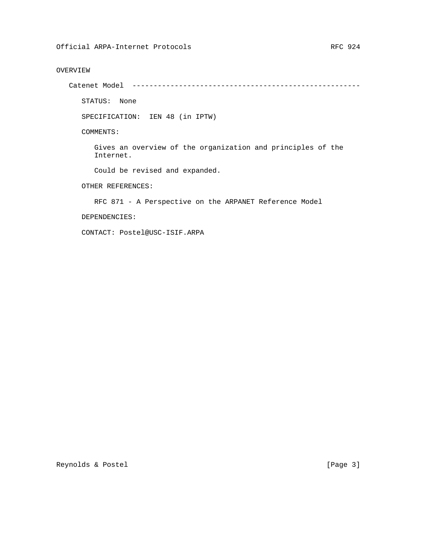# OVERVIEW

Catenet Model ------------------------------------------------------

STATUS: None

SPECIFICATION: IEN 48 (in IPTW)

COMMENTS:

 Gives an overview of the organization and principles of the Internet.

Could be revised and expanded.

OTHER REFERENCES:

RFC 871 - A Perspective on the ARPANET Reference Model

DEPENDENCIES:

CONTACT: Postel@USC-ISIF.ARPA

Reynolds & Postel [Page 3]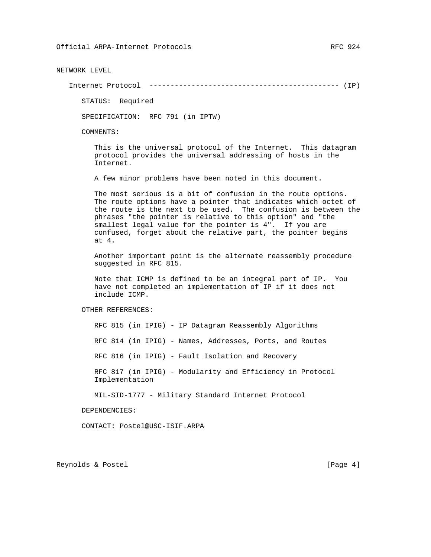NETWORK LEVEL

Internet Protocol --------------------------------------------- (IP)

STATUS: Required

SPECIFICATION: RFC 791 (in IPTW)

COMMENTS:

 This is the universal protocol of the Internet. This datagram protocol provides the universal addressing of hosts in the Internet.

A few minor problems have been noted in this document.

 The most serious is a bit of confusion in the route options. The route options have a pointer that indicates which octet of the route is the next to be used. The confusion is between the phrases "the pointer is relative to this option" and "the smallest legal value for the pointer is 4". If you are confused, forget about the relative part, the pointer begins at 4.

 Another important point is the alternate reassembly procedure suggested in RFC 815.

 Note that ICMP is defined to be an integral part of IP. You have not completed an implementation of IP if it does not include ICMP.

OTHER REFERENCES:

 RFC 815 (in IPIG) - IP Datagram Reassembly Algorithms RFC 814 (in IPIG) - Names, Addresses, Ports, and Routes RFC 816 (in IPIG) - Fault Isolation and Recovery RFC 817 (in IPIG) - Modularity and Efficiency in Protocol Implementation

MIL-STD-1777 - Military Standard Internet Protocol

DEPENDENCIES:

CONTACT: Postel@USC-ISIF.ARPA

Reynolds & Postel [Page 4]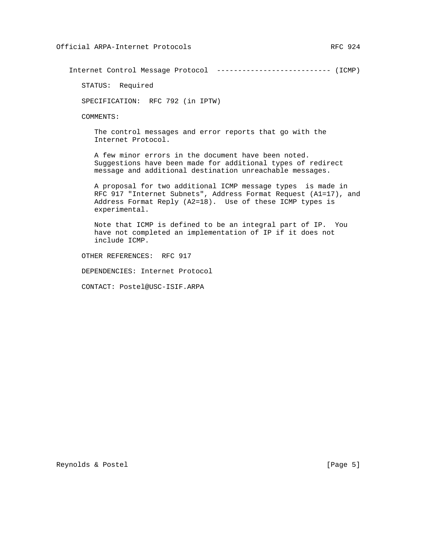Internet Control Message Protocol --------------------------- (ICMP)

STATUS: Required

SPECIFICATION: RFC 792 (in IPTW)

COMMENTS:

 The control messages and error reports that go with the Internet Protocol.

 A few minor errors in the document have been noted. Suggestions have been made for additional types of redirect message and additional destination unreachable messages.

 A proposal for two additional ICMP message types is made in RFC 917 "Internet Subnets", Address Format Request (A1=17), and Address Format Reply (A2=18). Use of these ICMP types is experimental.

 Note that ICMP is defined to be an integral part of IP. You have not completed an implementation of IP if it does not include ICMP.

OTHER REFERENCES: RFC 917

DEPENDENCIES: Internet Protocol

CONTACT: Postel@USC-ISIF.ARPA

Reynolds & Postel [Page 5]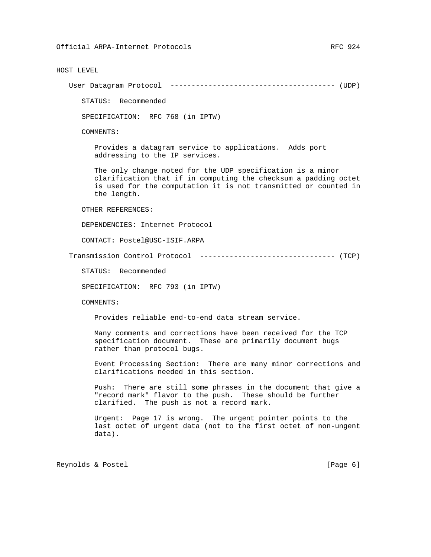HOST LEVEL

User Datagram Protocol --------------------------------------- (UDP)

STATUS: Recommended

SPECIFICATION: RFC 768 (in IPTW)

COMMENTS:

 Provides a datagram service to applications. Adds port addressing to the IP services.

 The only change noted for the UDP specification is a minor clarification that if in computing the checksum a padding octet is used for the computation it is not transmitted or counted in the length.

OTHER REFERENCES:

DEPENDENCIES: Internet Protocol

CONTACT: Postel@USC-ISIF.ARPA

Transmission Control Protocol -------------------------------- (TCP)

STATUS: Recommended

SPECIFICATION: RFC 793 (in IPTW)

COMMENTS:

Provides reliable end-to-end data stream service.

 Many comments and corrections have been received for the TCP specification document. These are primarily document bugs rather than protocol bugs.

 Event Processing Section: There are many minor corrections and clarifications needed in this section.

 Push: There are still some phrases in the document that give a "record mark" flavor to the push. These should be further clarified. The push is not a record mark.

 Urgent: Page 17 is wrong. The urgent pointer points to the last octet of urgent data (not to the first octet of non-ungent data).

Reynolds & Postel [Page 6]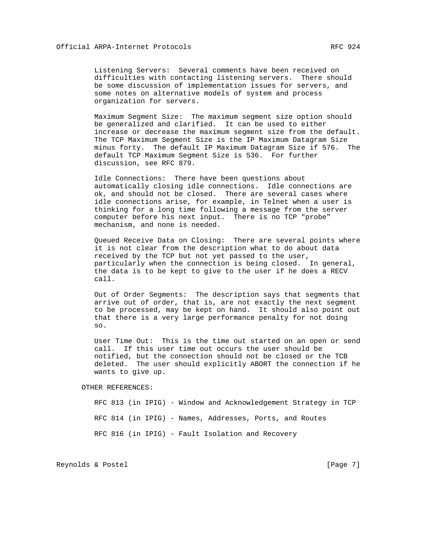Listening Servers: Several comments have been received on difficulties with contacting listening servers. There should be some discussion of implementation issues for servers, and some notes on alternative models of system and process organization for servers.

 Maximum Segment Size: The maximum segment size option should be generalized and clarified. It can be used to either increase or decrease the maximum segment size from the default. The TCP Maximum Segment Size is the IP Maximum Datagram Size minus forty. The default IP Maximum Datagram Size if 576. The default TCP Maximum Segment Size is 536. For further discussion, see RFC 879.

 Idle Connections: There have been questions about automatically closing idle connections. Idle connections are ok, and should not be closed. There are several cases where idle connections arise, for example, in Telnet when a user is thinking for a long time following a message from the server computer before his next input. There is no TCP "probe" mechanism, and none is needed.

 Queued Receive Data on Closing: There are several points where it is not clear from the description what to do about data received by the TCP but not yet passed to the user, particularly when the connection is being closed. In general, the data is to be kept to give to the user if he does a RECV call.

 Out of Order Segments: The description says that segments that arrive out of order, that is, are not exactly the next segment to be processed, may be kept on hand. It should also point out that there is a very large performance penalty for not doing so.

 User Time Out: This is the time out started on an open or send call. If this user time out occurs the user should be notified, but the connection should not be closed or the TCB deleted. The user should explicitly ABORT the connection if he wants to give up.

OTHER REFERENCES:

 RFC 813 (in IPIG) - Window and Acknowledgement Strategy in TCP RFC 814 (in IPIG) - Names, Addresses, Ports, and Routes RFC 816 (in IPIG) - Fault Isolation and Recovery

Reynolds & Postel [Page 7]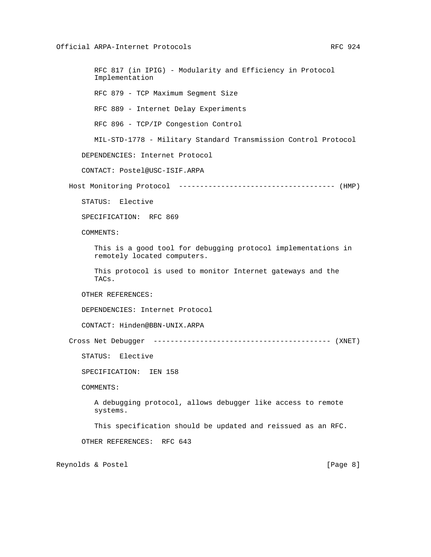RFC 817 (in IPIG) - Modularity and Efficiency in Protocol Implementation RFC 879 - TCP Maximum Segment Size RFC 889 - Internet Delay Experiments RFC 896 - TCP/IP Congestion Control MIL-STD-1778 - Military Standard Transmission Control Protocol DEPENDENCIES: Internet Protocol CONTACT: Postel@USC-ISIF.ARPA Host Monitoring Protocol ------------------------------------- (HMP) STATUS: Elective SPECIFICATION: RFC 869 COMMENTS: This is a good tool for debugging protocol implementations in remotely located computers. This protocol is used to monitor Internet gateways and the TACs. OTHER REFERENCES: DEPENDENCIES: Internet Protocol CONTACT: Hinden@BBN-UNIX.ARPA Cross Net Debugger ------------------------------------------ (XNET) STATUS: Elective SPECIFICATION: IEN 158 COMMENTS: A debugging protocol, allows debugger like access to remote systems. This specification should be updated and reissued as an RFC. OTHER REFERENCES: RFC 643

Reynolds & Postel [Page 8]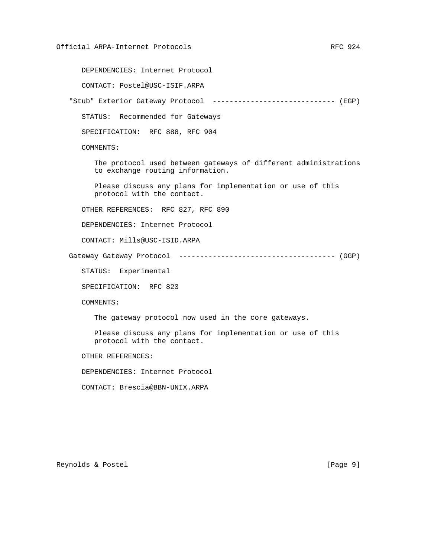DEPENDENCIES: Internet Protocol

CONTACT: Postel@USC-ISIF.ARPA

"Stub" Exterior Gateway Protocol ----------------------------- (EGP)

STATUS: Recommended for Gateways

SPECIFICATION: RFC 888, RFC 904

COMMENTS:

 The protocol used between gateways of different administrations to exchange routing information.

 Please discuss any plans for implementation or use of this protocol with the contact.

OTHER REFERENCES: RFC 827, RFC 890

DEPENDENCIES: Internet Protocol

CONTACT: Mills@USC-ISID.ARPA

Gateway Gateway Protocol ------------------------------------- (GGP)

STATUS: Experimental

SPECIFICATION: RFC 823

COMMENTS:

The gateway protocol now used in the core gateways.

 Please discuss any plans for implementation or use of this protocol with the contact.

OTHER REFERENCES:

DEPENDENCIES: Internet Protocol

CONTACT: Brescia@BBN-UNIX.ARPA

Reynolds & Postel **Example 20** (Page 9)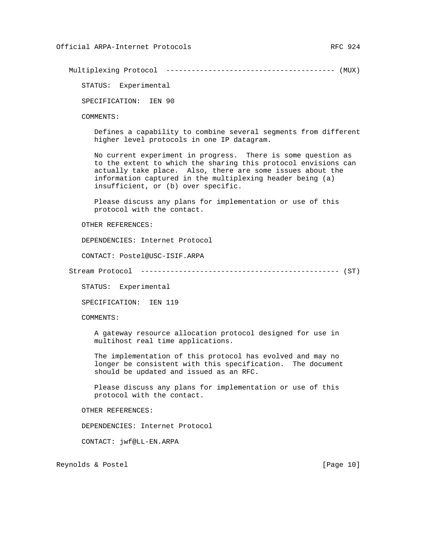Multiplexing Protocol ---------------------------------------- (MUX)

STATUS: Experimental

SPECIFICATION: IEN 90

COMMENTS:

 Defines a capability to combine several segments from different higher level protocols in one IP datagram.

 No current experiment in progress. There is some question as to the extent to which the sharing this protocol envisions can actually take place. Also, there are some issues about the information captured in the multiplexing header being (a) insufficient, or (b) over specific.

 Please discuss any plans for implementation or use of this protocol with the contact.

OTHER REFERENCES:

DEPENDENCIES: Internet Protocol

CONTACT: Postel@USC-ISIF.ARPA

Stream Protocol ----------------------------------------------- (ST)

STATUS: Experimental

SPECIFICATION: IEN 119

COMMENTS:

 A gateway resource allocation protocol designed for use in multihost real time applications.

 The implementation of this protocol has evolved and may no longer be consistent with this specification. The document should be updated and issued as an RFC.

 Please discuss any plans for implementation or use of this protocol with the contact.

OTHER REFERENCES:

DEPENDENCIES: Internet Protocol

CONTACT: jwf@LL-EN.ARPA

Reynolds & Postel [Page 10]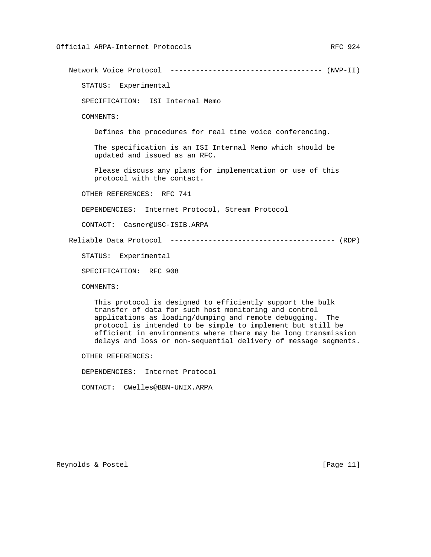Network Voice Protocol ------------------------------------ (NVP-II)

STATUS: Experimental

SPECIFICATION: ISI Internal Memo

COMMENTS:

Defines the procedures for real time voice conferencing.

 The specification is an ISI Internal Memo which should be updated and issued as an RFC.

 Please discuss any plans for implementation or use of this protocol with the contact.

OTHER REFERENCES: RFC 741

DEPENDENCIES: Internet Protocol, Stream Protocol

CONTACT: Casner@USC-ISIB.ARPA

Reliable Data Protocol --------------------------------------- (RDP)

STATUS: Experimental

SPECIFICATION: RFC 908

COMMENTS:

 This protocol is designed to efficiently support the bulk transfer of data for such host monitoring and control applications as loading/dumping and remote debugging. The protocol is intended to be simple to implement but still be efficient in environments where there may be long transmission delays and loss or non-sequential delivery of message segments.

OTHER REFERENCES:

DEPENDENCIES: Internet Protocol

CONTACT: CWelles@BBN-UNIX.ARPA

Reynolds & Postel [Page 11]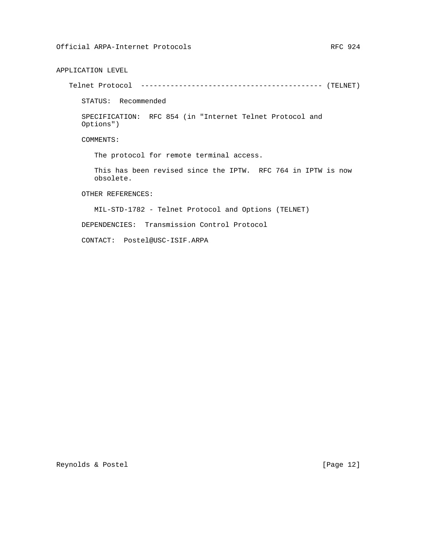## APPLICATION LEVEL

Telnet Protocol ------------------------------------------- (TELNET)

STATUS: Recommended

 SPECIFICATION: RFC 854 (in "Internet Telnet Protocol and Options")

COMMENTS:

The protocol for remote terminal access.

 This has been revised since the IPTW. RFC 764 in IPTW is now obsolete.

OTHER REFERENCES:

MIL-STD-1782 - Telnet Protocol and Options (TELNET)

DEPENDENCIES: Transmission Control Protocol

CONTACT: Postel@USC-ISIF.ARPA

Reynolds & Postel [Page 12]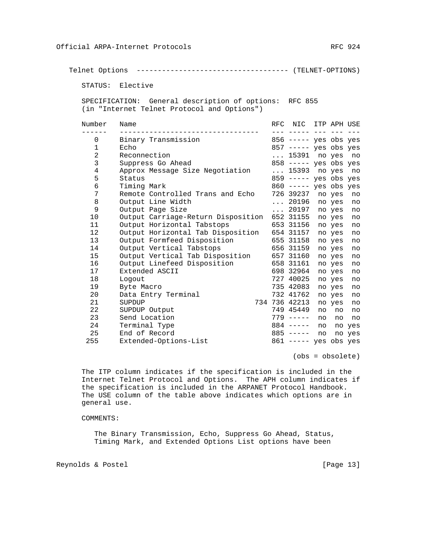Telnet Options ------------------------------------ (TELNET-OPTIONS)

STATUS: Elective

 SPECIFICATION: General description of options: RFC 855 (in "Internet Telnet Protocol and Options")

| Number            | Name                                         |           | RFC NIC ITP APH USE     |    |        |        |
|-------------------|----------------------------------------------|-----------|-------------------------|----|--------|--------|
|                   |                                              |           | $- - - - - -$           |    |        |        |
| $\Omega$          | Binary Transmission                          |           | 856 ----- yes obs yes   |    |        |        |
| $\mathbf{1}$      | Echo                                         |           | $857$ ----- yes obs yes |    |        |        |
| $\overline{a}$    | Reconnection                                 |           | 15391 no yes            |    |        | no     |
| 3                 | Suppress Go Ahead                            |           | $858$ ----- yes obs yes |    |        |        |
| $\overline{4}$    | Approx Message Size Negotiation              |           | $\ldots$ 15393 no yes   |    |        | no     |
| 5                 | Status                                       |           | 859 ----- yes obs yes   |    |        |        |
| 6                 | Timing Mark                                  |           | 860 ----- yes obs yes   |    |        |        |
| 7                 | Remote Controlled Trans and Echo             |           | 726 39237               |    | no yes | no     |
| 8                 | Output Line Width                            |           | $\ldots\ 20196$         |    | no yes | no     |
| 9                 | Output Page Size                             |           | $\ldots$ 20197          |    | no yes | no     |
| 10                | Output Carriage-Return Disposition 652 31155 |           |                         |    | no yes | no     |
| 11                | Output Horizontal Tabstops                   |           | 653 31156               |    | no yes | no     |
| $12 \overline{ }$ | Output Horizontal Tab Disposition 654 31157  |           |                         |    | no yes | no     |
| 13                | Output Formfeed Disposition                  | 655 31158 |                         |    | no yes | no     |
| 14                | Output Vertical Tabstops                     | 656 31159 |                         |    | no yes | no     |
| 15                | Output Vertical Tab Disposition 657 31160    |           |                         |    | no yes | no     |
| 16                | Output Linefeed Disposition                  | 658 31161 |                         |    | no yes | no     |
| 17                | Extended ASCII                               |           | 698 32964               |    | no yes | no     |
| 18                | Logout                                       |           | 727 40025               |    | no yes | no     |
| 19                | Byte Macro                                   |           | 735 42083               |    | no yes | no     |
| 20                | Data Entry Terminal                          |           | 732 41762               |    | no yes | no     |
| 21                | SUPDUP                                       |           | 734 736 42213           |    | no yes | no     |
| 22                | SUPDUP Output                                |           | 749 45449               | no | no     | no     |
| 23                | Send Location                                |           | $779 - - - -$           | no | no     | no     |
| 24                | Terminal Type                                |           | $884$ -----             | no |        | no yes |
| 25                | End of Record                                |           | $885$ -----             | no |        | no yes |
| 255               | Extended-Options-List                        |           | 861 ----- yes obs yes   |    |        |        |

(obs = obsolete)

 The ITP column indicates if the specification is included in the Internet Telnet Protocol and Options. The APH column indicates if the specification is included in the ARPANET Protocol Handbook. The USE column of the table above indicates which options are in general use.

### COMMENTS:

 The Binary Transmission, Echo, Suppress Go Ahead, Status, Timing Mark, and Extended Options List options have been

Reynolds & Postel [Page 13]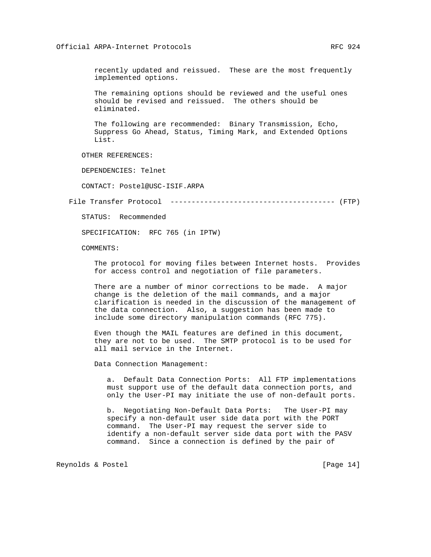recently updated and reissued. These are the most frequently implemented options.

 The remaining options should be reviewed and the useful ones should be revised and reissued. The others should be eliminated.

 The following are recommended: Binary Transmission, Echo, Suppress Go Ahead, Status, Timing Mark, and Extended Options List.

OTHER REFERENCES:

DEPENDENCIES: Telnet

CONTACT: Postel@USC-ISIF.ARPA

File Transfer Protocol --------------------------------------- (FTP)

STATUS: Recommended

SPECIFICATION: RFC 765 (in IPTW)

COMMENTS:

 The protocol for moving files between Internet hosts. Provides for access control and negotiation of file parameters.

 There are a number of minor corrections to be made. A major change is the deletion of the mail commands, and a major clarification is needed in the discussion of the management of the data connection. Also, a suggestion has been made to include some directory manipulation commands (RFC 775).

 Even though the MAIL features are defined in this document, they are not to be used. The SMTP protocol is to be used for all mail service in the Internet.

Data Connection Management:

 a. Default Data Connection Ports: All FTP implementations must support use of the default data connection ports, and only the User-PI may initiate the use of non-default ports.

 b. Negotiating Non-Default Data Ports: The User-PI may specify a non-default user side data port with the PORT command. The User-PI may request the server side to identify a non-default server side data port with the PASV command. Since a connection is defined by the pair of

Reynolds & Postel **Example 20** (Page 14)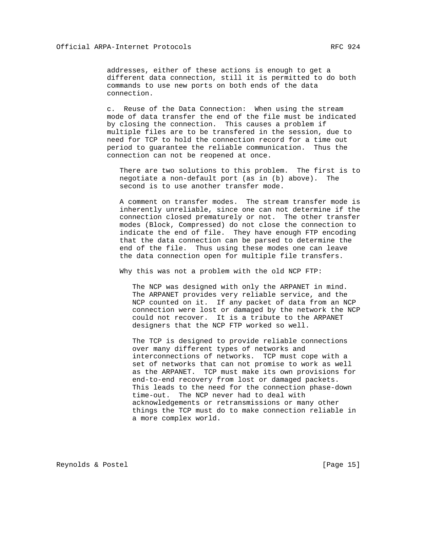addresses, either of these actions is enough to get a different data connection, still it is permitted to do both commands to use new ports on both ends of the data connection.

 c. Reuse of the Data Connection: When using the stream mode of data transfer the end of the file must be indicated by closing the connection. This causes a problem if multiple files are to be transfered in the session, due to need for TCP to hold the connection record for a time out period to guarantee the reliable communication. Thus the connection can not be reopened at once.

 There are two solutions to this problem. The first is to negotiate a non-default port (as in (b) above). The second is to use another transfer mode.

 A comment on transfer modes. The stream transfer mode is inherently unreliable, since one can not determine if the connection closed prematurely or not. The other transfer modes (Block, Compressed) do not close the connection to indicate the end of file. They have enough FTP encoding that the data connection can be parsed to determine the end of the file. Thus using these modes one can leave the data connection open for multiple file transfers.

Why this was not a problem with the old NCP FTP:

 The NCP was designed with only the ARPANET in mind. The ARPANET provides very reliable service, and the NCP counted on it. If any packet of data from an NCP connection were lost or damaged by the network the NCP could not recover. It is a tribute to the ARPANET designers that the NCP FTP worked so well.

 The TCP is designed to provide reliable connections over many different types of networks and interconnections of networks. TCP must cope with a set of networks that can not promise to work as well as the ARPANET. TCP must make its own provisions for end-to-end recovery from lost or damaged packets. This leads to the need for the connection phase-down time-out. The NCP never had to deal with acknowledgements or retransmissions or many other things the TCP must do to make connection reliable in a more complex world.

Reynolds & Postel [Page 15]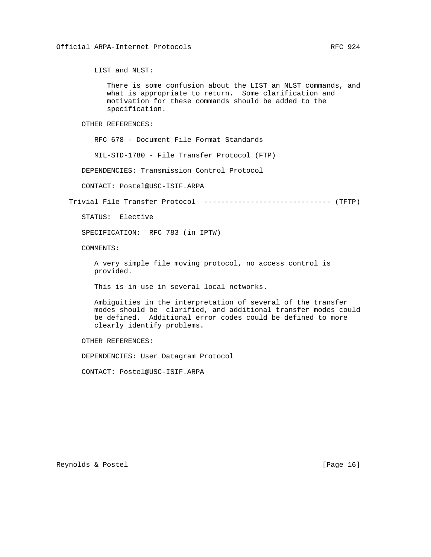LIST and NLST:

 There is some confusion about the LIST an NLST commands, and what is appropriate to return. Some clarification and motivation for these commands should be added to the specification.

OTHER REFERENCES:

RFC 678 - Document File Format Standards

MIL-STD-1780 - File Transfer Protocol (FTP)

DEPENDENCIES: Transmission Control Protocol

CONTACT: Postel@USC-ISIF.ARPA

Trivial File Transfer Protocol ------------------------------ (TFTP)

STATUS: Elective

SPECIFICATION: RFC 783 (in IPTW)

COMMENTS:

 A very simple file moving protocol, no access control is provided.

This is in use in several local networks.

 Ambiguities in the interpretation of several of the transfer modes should be clarified, and additional transfer modes could be defined. Additional error codes could be defined to more clearly identify problems.

OTHER REFERENCES:

DEPENDENCIES: User Datagram Protocol

CONTACT: Postel@USC-ISIF.ARPA

Reynolds & Postel [Page 16]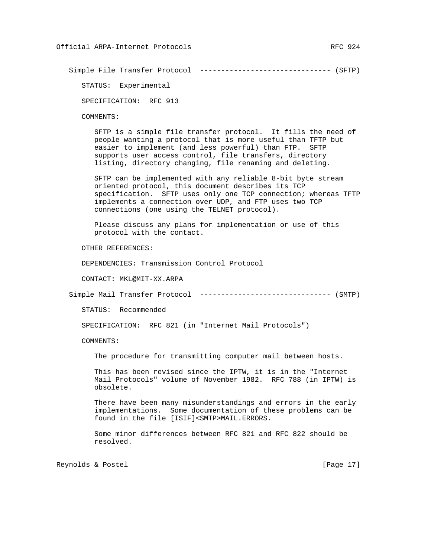Simple File Transfer Protocol ------------------------------- (SFTP)

STATUS: Experimental

SPECIFICATION: RFC 913

COMMENTS:

 SFTP is a simple file transfer protocol. It fills the need of people wanting a protocol that is more useful than TFTP but easier to implement (and less powerful) than FTP. SFTP supports user access control, file transfers, directory listing, directory changing, file renaming and deleting.

 SFTP can be implemented with any reliable 8-bit byte stream oriented protocol, this document describes its TCP specification. SFTP uses only one TCP connection; whereas TFTP implements a connection over UDP, and FTP uses two TCP connections (one using the TELNET protocol).

 Please discuss any plans for implementation or use of this protocol with the contact.

OTHER REFERENCES:

DEPENDENCIES: Transmission Control Protocol

CONTACT: MKL@MIT-XX.ARPA

Simple Mail Transfer Protocol ------------------------------- (SMTP)

STATUS: Recommended

SPECIFICATION: RFC 821 (in "Internet Mail Protocols")

COMMENTS:

The procedure for transmitting computer mail between hosts.

 This has been revised since the IPTW, it is in the "Internet Mail Protocols" volume of November 1982. RFC 788 (in IPTW) is obsolete.

 There have been many misunderstandings and errors in the early implementations. Some documentation of these problems can be found in the file [ISIF]<SMTP>MAIL.ERRORS.

 Some minor differences between RFC 821 and RFC 822 should be resolved.

Reynolds & Postel [Page 17]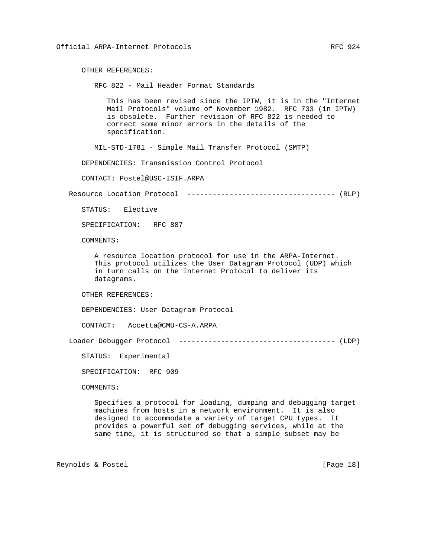OTHER REFERENCES:

RFC 822 - Mail Header Format Standards

 This has been revised since the IPTW, it is in the "Internet Mail Protocols" volume of November 1982. RFC 733 (in IPTW) is obsolete. Further revision of RFC 822 is needed to correct some minor errors in the details of the specification.

MIL-STD-1781 - Simple Mail Transfer Protocol (SMTP)

DEPENDENCIES: Transmission Control Protocol

CONTACT: Postel@USC-ISIF.ARPA

Resource Location Protocol ----------------------------------- (RLP)

STATUS: Elective

SPECIFICATION: RFC 887

COMMENTS:

 A resource location protocol for use in the ARPA-Internet. This protocol utilizes the User Datagram Protocol (UDP) which in turn calls on the Internet Protocol to deliver its datagrams.

OTHER REFERENCES:

DEPENDENCIES: User Datagram Protocol

CONTACT: Accetta@CMU-CS-A.ARPA

Loader Debugger Protocol ------------------------------------- (LDP)

STATUS: Experimental

SPECIFICATION: RFC 909

COMMENTS:

 Specifies a protocol for loading, dumping and debugging target machines from hosts in a network environment. It is also designed to accommodate a variety of target CPU types. It provides a powerful set of debugging services, while at the same time, it is structured so that a simple subset may be

Reynolds & Postel [Page 18]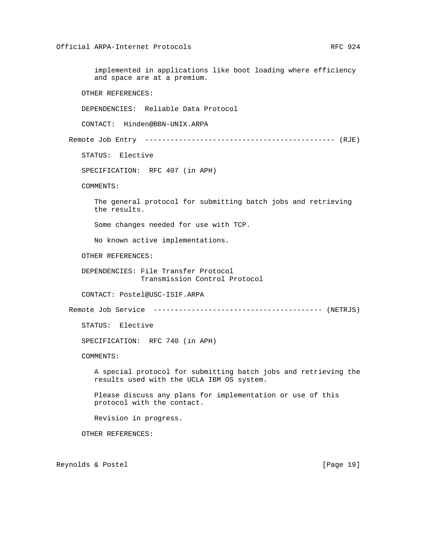implemented in applications like boot loading where efficiency and space are at a premium.

OTHER REFERENCES:

DEPENDENCIES: Reliable Data Protocol

CONTACT: Hinden@BBN-UNIX.ARPA

Remote Job Entry --------------------------------------------- (RJE)

STATUS: Elective

SPECIFICATION: RFC 407 (in APH)

COMMENTS:

 The general protocol for submitting batch jobs and retrieving the results.

Some changes needed for use with TCP.

No known active implementations.

OTHER REFERENCES:

 DEPENDENCIES: File Transfer Protocol Transmission Control Protocol

CONTACT: Postel@USC-ISIF.ARPA

Remote Job Service ---------------------------------------- (NETRJS)

STATUS: Elective

SPECIFICATION: RFC 740 (in APH)

COMMENTS:

 A special protocol for submitting batch jobs and retrieving the results used with the UCLA IBM OS system.

 Please discuss any plans for implementation or use of this protocol with the contact.

Revision in progress.

OTHER REFERENCES:

Reynolds & Postel [Page 19]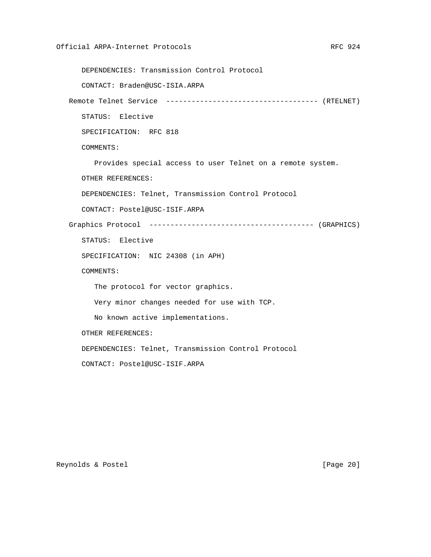```
 DEPENDENCIES: Transmission Control Protocol
   CONTACT: Braden@USC-ISIA.ARPA
Remote Telnet Service ------------------------------------ (RTELNET)
   STATUS: Elective
   SPECIFICATION: RFC 818
   COMMENTS:
      Provides special access to user Telnet on a remote system.
   OTHER REFERENCES:
   DEPENDENCIES: Telnet, Transmission Control Protocol
   CONTACT: Postel@USC-ISIF.ARPA
Graphics Protocol --------------------------------------- (GRAPHICS)
   STATUS: Elective
   SPECIFICATION: NIC 24308 (in APH)
   COMMENTS:
      The protocol for vector graphics.
      Very minor changes needed for use with TCP.
      No known active implementations.
   OTHER REFERENCES:
   DEPENDENCIES: Telnet, Transmission Control Protocol
   CONTACT: Postel@USC-ISIF.ARPA
```
Reynolds & Postel [Page 20]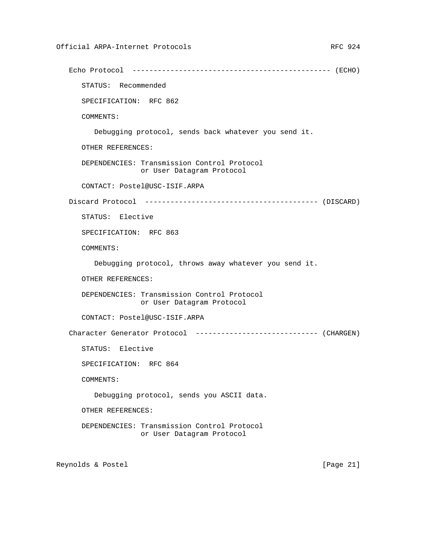```
 Echo Protocol ----------------------------------------------- (ECHO)
   STATUS: Recommended
   SPECIFICATION: RFC 862
   COMMENTS:
      Debugging protocol, sends back whatever you send it.
   OTHER REFERENCES:
   DEPENDENCIES: Transmission Control Protocol
                 or User Datagram Protocol
   CONTACT: Postel@USC-ISIF.ARPA
Discard Protocol ----------------------------------------- (DISCARD)
   STATUS: Elective
   SPECIFICATION: RFC 863
   COMMENTS:
      Debugging protocol, throws away whatever you send it.
   OTHER REFERENCES:
   DEPENDENCIES: Transmission Control Protocol
                or User Datagram Protocol
   CONTACT: Postel@USC-ISIF.ARPA
Character Generator Protocol ----------------------------- (CHARGEN)
   STATUS: Elective
   SPECIFICATION: RFC 864
   COMMENTS:
      Debugging protocol, sends you ASCII data.
   OTHER REFERENCES:
   DEPENDENCIES: Transmission Control Protocol
                 or User Datagram Protocol
```
Reynolds & Postel [Page 21]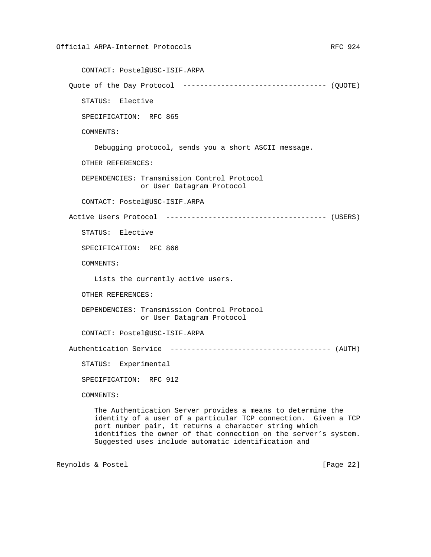CONTACT: Postel@USC-ISIF.ARPA Quote of the Day Protocol ---------------------------------- (QUOTE) STATUS: Elective SPECIFICATION: RFC 865 COMMENTS: Debugging protocol, sends you a short ASCII message. OTHER REFERENCES: DEPENDENCIES: Transmission Control Protocol or User Datagram Protocol CONTACT: Postel@USC-ISIF.ARPA Active Users Protocol -------------------------------------- (USERS) STATUS: Elective SPECIFICATION: RFC 866 COMMENTS: Lists the currently active users. OTHER REFERENCES: DEPENDENCIES: Transmission Control Protocol or User Datagram Protocol CONTACT: Postel@USC-ISIF.ARPA Authentication Service -------------------------------------- (AUTH) STATUS: Experimental SPECIFICATION: RFC 912 COMMENTS: The Authentication Server provides a means to determine the identity of a user of a particular TCP connection. Given a TCP port number pair, it returns a character string which identifies the owner of that connection on the server's system. Suggested uses include automatic identification and

Reynolds & Postel [Page 22]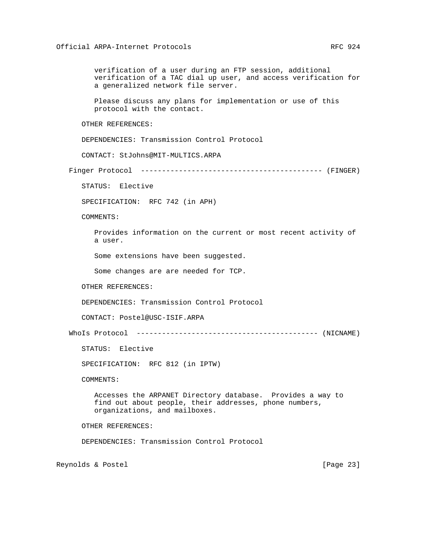verification of a user during an FTP session, additional verification of a TAC dial up user, and access verification for a generalized network file server.

 Please discuss any plans for implementation or use of this protocol with the contact.

OTHER REFERENCES:

DEPENDENCIES: Transmission Control Protocol

CONTACT: StJohns@MIT-MULTICS.ARPA

Finger Protocol ------------------------------------------- (FINGER)

STATUS: Elective

SPECIFICATION: RFC 742 (in APH)

COMMENTS:

 Provides information on the current or most recent activity of a user.

Some extensions have been suggested.

Some changes are are needed for TCP.

OTHER REFERENCES:

DEPENDENCIES: Transmission Control Protocol

CONTACT: Postel@USC-ISIF.ARPA

WhoIs Protocol ------------------------------------------- (NICNAME)

STATUS: Elective

SPECIFICATION: RFC 812 (in IPTW)

COMMENTS:

 Accesses the ARPANET Directory database. Provides a way to find out about people, their addresses, phone numbers, organizations, and mailboxes.

OTHER REFERENCES:

DEPENDENCIES: Transmission Control Protocol

Reynolds & Postel [Page 23]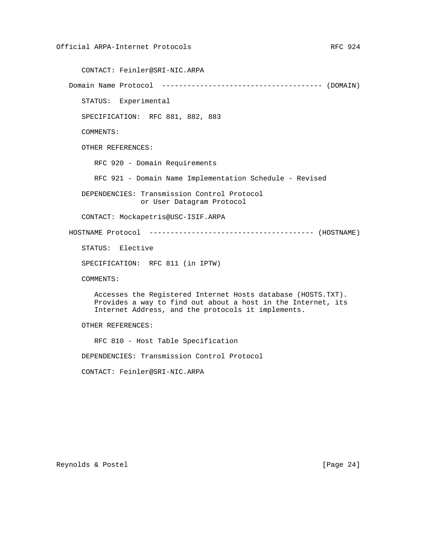CONTACT: Feinler@SRI-NIC.ARPA Domain Name Protocol -------------------------------------- (DOMAIN) STATUS: Experimental SPECIFICATION: RFC 881, 882, 883 COMMENTS: OTHER REFERENCES: RFC 920 - Domain Requirements RFC 921 - Domain Name Implementation Schedule - Revised DEPENDENCIES: Transmission Control Protocol or User Datagram Protocol CONTACT: Mockapetris@USC-ISIF.ARPA HOSTNAME Protocol --------------------------------------- (HOSTNAME) STATUS: Elective SPECIFICATION: RFC 811 (in IPTW) COMMENTS: Accesses the Registered Internet Hosts database (HOSTS.TXT). Provides a way to find out about a host in the Internet, its Internet Address, and the protocols it implements.

OTHER REFERENCES:

RFC 810 - Host Table Specification

DEPENDENCIES: Transmission Control Protocol

CONTACT: Feinler@SRI-NIC.ARPA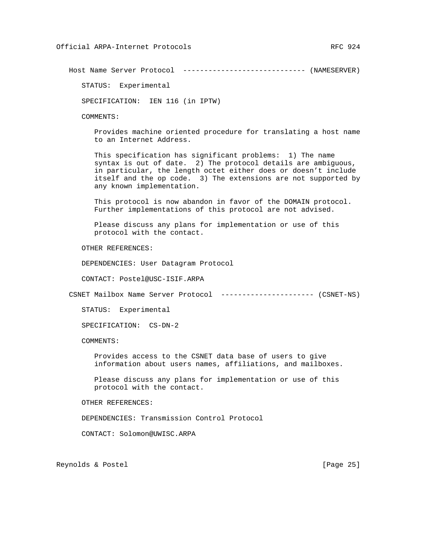Host Name Server Protocol ----------------------------- (NAMESERVER)

STATUS: Experimental

SPECIFICATION: IEN 116 (in IPTW)

COMMENTS:

 Provides machine oriented procedure for translating a host name to an Internet Address.

 This specification has significant problems: 1) The name syntax is out of date. 2) The protocol details are ambiguous, in particular, the length octet either does or doesn't include itself and the op code. 3) The extensions are not supported by any known implementation.

 This protocol is now abandon in favor of the DOMAIN protocol. Further implementations of this protocol are not advised.

 Please discuss any plans for implementation or use of this protocol with the contact.

OTHER REFERENCES:

DEPENDENCIES: User Datagram Protocol

CONTACT: Postel@USC-ISIF.ARPA

CSNET Mailbox Name Server Protocol ---------------------- (CSNET-NS)

STATUS: Experimental

SPECIFICATION: CS-DN-2

COMMENTS:

 Provides access to the CSNET data base of users to give information about users names, affiliations, and mailboxes.

 Please discuss any plans for implementation or use of this protocol with the contact.

OTHER REFERENCES:

DEPENDENCIES: Transmission Control Protocol

CONTACT: Solomon@UWISC.ARPA

Reynolds & Postel [Page 25]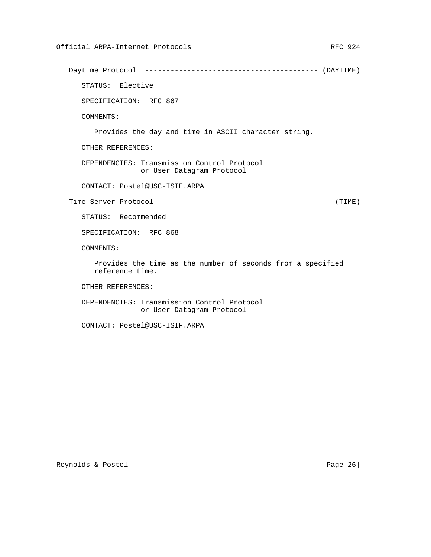Daytime Protocol ----------------------------------------- (DAYTIME) STATUS: Elective SPECIFICATION: RFC 867 COMMENTS: Provides the day and time in ASCII character string. OTHER REFERENCES: DEPENDENCIES: Transmission Control Protocol or User Datagram Protocol CONTACT: Postel@USC-ISIF.ARPA Time Server Protocol ---------------------------------------- (TIME) STATUS: Recommended SPECIFICATION: RFC 868 COMMENTS: Provides the time as the number of seconds from a specified reference time. OTHER REFERENCES: DEPENDENCIES: Transmission Control Protocol

CONTACT: Postel@USC-ISIF.ARPA

or User Datagram Protocol

Reynolds & Postel [Page 26]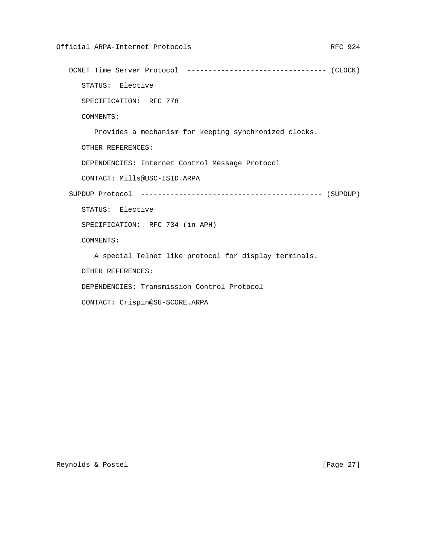DCNET Time Server Protocol --------------------------------- (CLOCK) STATUS: Elective SPECIFICATION: RFC 778 COMMENTS: Provides a mechanism for keeping synchronized clocks. OTHER REFERENCES: DEPENDENCIES: Internet Control Message Protocol CONTACT: Mills@USC-ISID.ARPA SUPDUP Protocol ------------------------------------------- (SUPDUP) STATUS: Elective SPECIFICATION: RFC 734 (in APH) COMMENTS: A special Telnet like protocol for display terminals. OTHER REFERENCES: DEPENDENCIES: Transmission Control Protocol CONTACT: Crispin@SU-SCORE.ARPA

Reynolds & Postel [Page 27]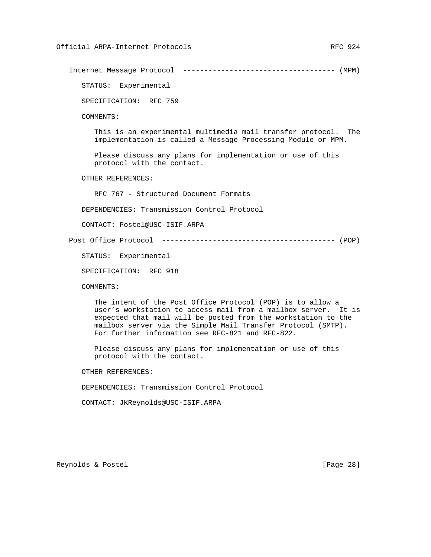Internet Message Protocol ------------------------------------ (MPM)

STATUS: Experimental

SPECIFICATION: RFC 759

COMMENTS:

 This is an experimental multimedia mail transfer protocol. The implementation is called a Message Processing Module or MPM.

 Please discuss any plans for implementation or use of this protocol with the contact.

OTHER REFERENCES:

RFC 767 - Structured Document Formats

DEPENDENCIES: Transmission Control Protocol

CONTACT: Postel@USC-ISIF.ARPA

Post Office Protocol ----------------------------------------- (POP)

STATUS: Experimental

SPECIFICATION: RFC 918

COMMENTS:

 The intent of the Post Office Protocol (POP) is to allow a user's workstation to access mail from a mailbox server. It is expected that mail will be posted from the workstation to the mailbox server via the Simple Mail Transfer Protocol (SMTP). For further information see RFC-821 and RFC-822.

 Please discuss any plans for implementation or use of this protocol with the contact.

OTHER REFERENCES:

DEPENDENCIES: Transmission Control Protocol

CONTACT: JKReynolds@USC-ISIF.ARPA

Reynolds & Postel [Page 28]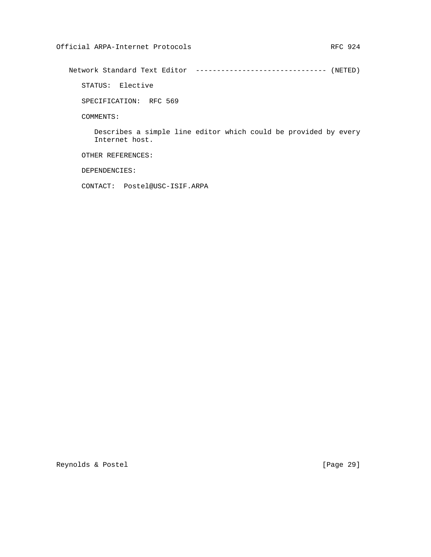Network Standard Text Editor ------------------------------- (NETED)

STATUS: Elective

SPECIFICATION: RFC 569

COMMENTS:

 Describes a simple line editor which could be provided by every Internet host.

OTHER REFERENCES:

DEPENDENCIES:

CONTACT: Postel@USC-ISIF.ARPA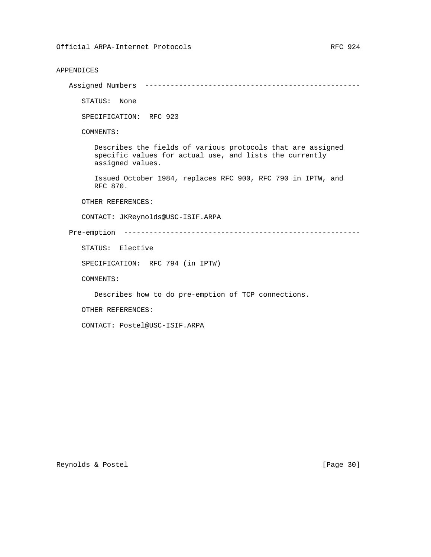# APPENDICES

Assigned Numbers ---------------------------------------------------

STATUS: None

SPECIFICATION: RFC 923

COMMENTS:

 Describes the fields of various protocols that are assigned specific values for actual use, and lists the currently assigned values.

 Issued October 1984, replaces RFC 900, RFC 790 in IPTW, and RFC 870.

OTHER REFERENCES:

CONTACT: JKReynolds@USC-ISIF.ARPA

Pre-emption --------------------------------------------------------

STATUS: Elective

SPECIFICATION: RFC 794 (in IPTW)

COMMENTS:

Describes how to do pre-emption of TCP connections.

OTHER REFERENCES:

CONTACT: Postel@USC-ISIF.ARPA

Reynolds & Postel [Page 30]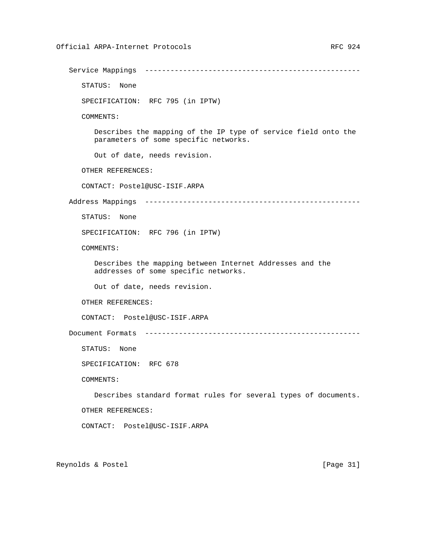Service Mappings --------------------------------------------------- STATUS: None SPECIFICATION: RFC 795 (in IPTW) COMMENTS: Describes the mapping of the IP type of service field onto the parameters of some specific networks. Out of date, needs revision. OTHER REFERENCES: CONTACT: Postel@USC-ISIF.ARPA Address Mappings --------------------------------------------------- STATUS: None SPECIFICATION: RFC 796 (in IPTW) COMMENTS: Describes the mapping between Internet Addresses and the addresses of some specific networks. Out of date, needs revision. OTHER REFERENCES: CONTACT: Postel@USC-ISIF.ARPA Document Formats --------------------------------------------------- STATUS: None SPECIFICATION: RFC 678 COMMENTS: Describes standard format rules for several types of documents. OTHER REFERENCES: CONTACT: Postel@USC-ISIF.ARPA

Reynolds & Postel [Page 31]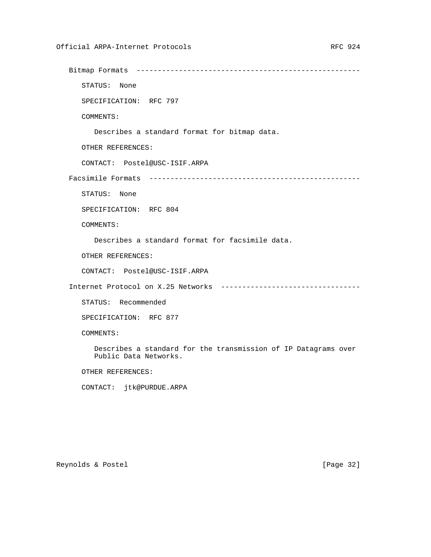```
 Bitmap Formats -----------------------------------------------------
   STATUS: None
   SPECIFICATION: RFC 797
   COMMENTS:
      Describes a standard format for bitmap data.
   OTHER REFERENCES:
   CONTACT: Postel@USC-ISIF.ARPA
Facsimile Formats --------------------------------------------------
   STATUS: None
   SPECIFICATION: RFC 804
   COMMENTS:
      Describes a standard format for facsimile data.
   OTHER REFERENCES:
   CONTACT: Postel@USC-ISIF.ARPA
Internet Protocol on X.25 Networks ---------------------------------
   STATUS: Recommended
   SPECIFICATION: RFC 877
   COMMENTS:
      Describes a standard for the transmission of IP Datagrams over
      Public Data Networks.
   OTHER REFERENCES:
```
CONTACT: jtk@PURDUE.ARPA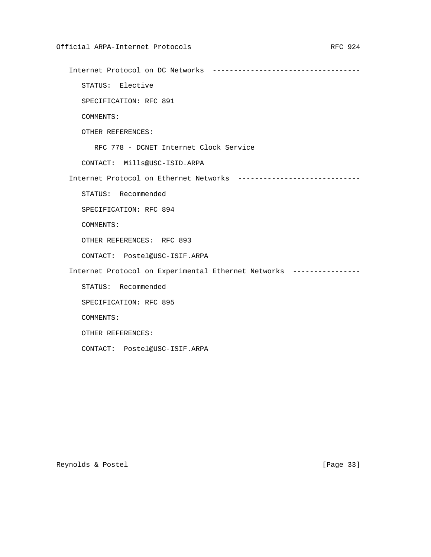Internet Protocol on DC Networks -----------------------------------

STATUS: Elective

SPECIFICATION: RFC 891

COMMENTS:

OTHER REFERENCES:

RFC 778 - DCNET Internet Clock Service

CONTACT: Mills@USC-ISID.ARPA

Internet Protocol on Ethernet Networks -----------------------------

STATUS: Recommended

SPECIFICATION: RFC 894

COMMENTS:

OTHER REFERENCES: RFC 893

CONTACT: Postel@USC-ISIF.ARPA

Internet Protocol on Experimental Ethernet Networks ----------------

STATUS: Recommended

SPECIFICATION: RFC 895

COMMENTS:

OTHER REFERENCES:

CONTACT: Postel@USC-ISIF.ARPA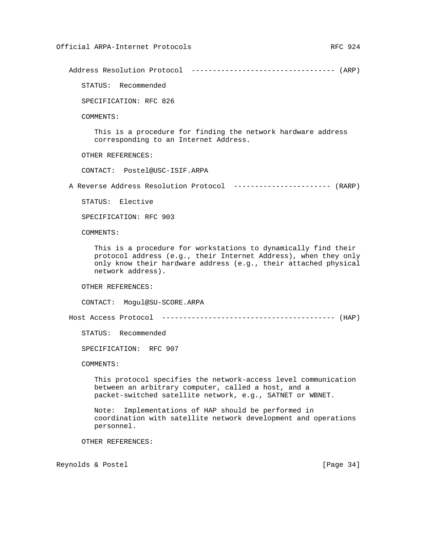Address Resolution Protocol ---------------------------------- (ARP) STATUS: Recommended SPECIFICATION: RFC 826 COMMENTS: This is a procedure for finding the network hardware address corresponding to an Internet Address. OTHER REFERENCES: CONTACT: Postel@USC-ISIF.ARPA A Reverse Address Resolution Protocol ----------------------- (RARP) STATUS: Elective SPECIFICATION: RFC 903 COMMENTS: This is a procedure for workstations to dynamically find their protocol address (e.g., their Internet Address), when they only only know their hardware address (e.g., their attached physical network address). OTHER REFERENCES: CONTACT: Mogul@SU-SCORE.ARPA Host Access Protocol ----------------------------------------- (HAP) STATUS: Recommended SPECIFICATION: RFC 907 COMMENTS: This protocol specifies the network-access level communication between an arbitrary computer, called a host, and a packet-switched satellite network, e.g., SATNET or WBNET. Note: Implementations of HAP should be performed in coordination with satellite network development and operations personnel. OTHER REFERENCES: Reynolds & Postel [Page 34]